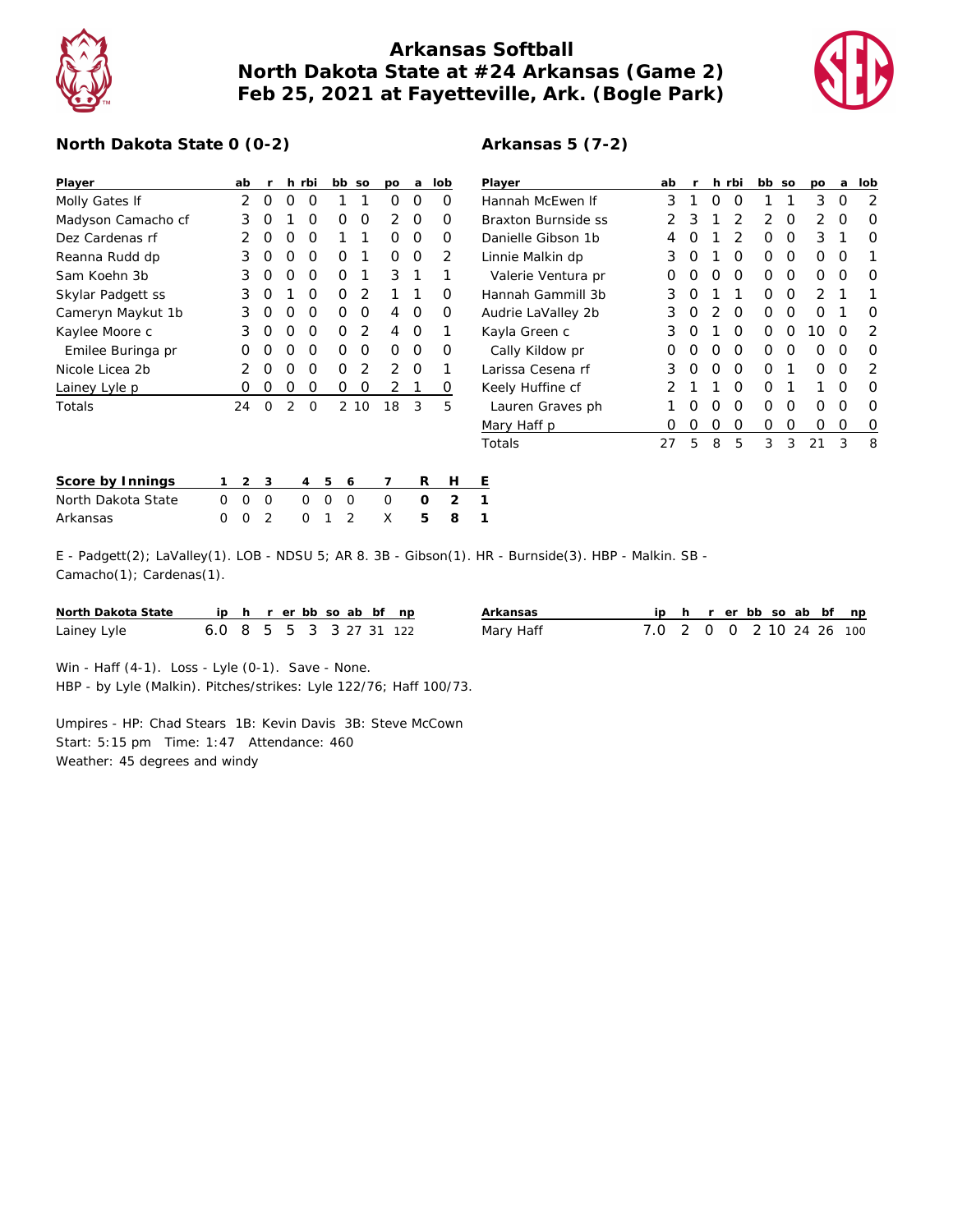

## **Arkansas Softball North Dakota State at #24 Arkansas (Game 2) Feb 25, 2021 at Fayetteville, Ark. (Bogle Park)**



## **North Dakota State 0 (0-2)**

| Player             |   | ab       | r             |   | h rbi    | bb | SO            | po             | a | lob            | ⊵                       |
|--------------------|---|----------|---------------|---|----------|----|---------------|----------------|---|----------------|-------------------------|
| Molly Gates If     |   | 2        | Ω             | O | O        | 1  | 1             | Ω              | O | Ω              | Н                       |
| Madyson Camacho cf |   | 3        | Ω             | 1 | Ο        | Ω  | O             | 2              | O | Ω              | B                       |
| Dez Cardenas rf    |   | 2        | Ω             | O | O        | 1  | 1             | Ω              | Ω | Ω              | D                       |
| Reanna Rudd dp     |   | 3        | Ο             | O | O        | Ο  | 1             | Ω              | Ω | $\mathcal{P}$  | L                       |
| Sam Koehn 3b       |   | 3        | Ω             | Ο | O        | Ο  | 1             | 3              | 1 | 1              |                         |
| Skylar Padgett ss  |   | 3        | Ο             | 1 | Ο        | O  | $\mathcal{P}$ | 1              | 1 | Ω              | Н                       |
| Cameryn Maykut 1b  |   | 3        | Ω             | O | Ω        | Ο  | O             | 4              | O | Ω              | Α                       |
| Kaylee Moore c     |   | 3        | Ω             | O | Ο        | Ο  | 2             | 4              | O | 1              | К                       |
| Emilee Buringa pr  |   | Ω        | Ω             | O | O        | Ο  | O             | Ο              | Ο | Ω              |                         |
| Nicole Licea 2b    |   | 2        | Ω             | Ο | Ο        | Ο  | 2             | $\overline{2}$ | O | 1              | Ŀ                       |
| Lainey Lyle p      |   | Ω        | Ω             | Ο | Ο        | Ο  | O             | 2              | 1 | Ο              | К                       |
| Totals             |   | 24       | $\Omega$      | 2 | O        |    | 2<br>10       | 18             | 3 | 5              |                         |
|                    |   |          |               |   |          |    |               |                |   |                | $\overline{\mathsf{N}}$ |
|                    |   |          |               |   |          |    |               |                |   |                | Τ                       |
|                    |   |          |               |   |          |    |               |                |   |                |                         |
| Score by Innings   | 1 | 2        | 3             |   | 4        | 5  | 6             | 7              | R | Н              | Ε                       |
| North Dakota State | O | $\Omega$ | O             |   | Ω        | O  | O             | O              | Ω | $\overline{2}$ | 1                       |
| Arkansas           | Ω | O        | $\mathcal{P}$ |   | $\Omega$ | 1  | $\mathcal{P}$ | X              | 5 | 8              |                         |

| Player              | ab               | r |   | h rbi          | bb. | SO | pо            | a | lob |
|---------------------|------------------|---|---|----------------|-----|----|---------------|---|-----|
| Hannah McFwen If    | 3                | 1 | O | O              | 1   | 1  | 3             | O | 2   |
| Braxton Burnside ss | 2                | 3 | 1 | $\overline{2}$ | 2   | O  | 2             | O | Ω   |
| Danielle Gibson 1b  | 4                | 0 | 1 | $\mathcal{P}$  | Ω   | O  | 3             | 1 | Ω   |
| Linnie Malkin dp    | 3                | O | 1 | O              | Ο   | O  | Ω             | Ω |     |
| Valerie Ventura pr  | $\left( \right)$ | O | O | O              | Ω   | O  | Ω             | O | Ω   |
| Hannah Gammill 3b   | 3                | O | 1 | 1              | Ω   | O  | $\mathcal{P}$ | 1 | 1   |
| Audrie LaValley 2b  | 3                | O | 2 | O              | Ω   | O  | Ω             | 1 | Ω   |
| Kayla Green c       | 3                | O | 1 | O              | Ω   | O  | 10            | O | 2   |
| Cally Kildow pr     | Ω                | O | O | O              | Ω   | O  | O             | O | Ω   |
| Larissa Cesena rf   | 3                | O | O | ∩              | O   | 1  | ∩             | ∩ | 2   |
| Keely Huffine cf    | $\mathcal{P}$    | 1 | 1 | O              | Ω   | 1  | 1             | ∩ | Ω   |
| Lauren Graves ph    | 1                | O | O | O              | Ω   | O  | Ω             | Ω | Ω   |
| Mary Haff p         | Ω                | O | O | O              | Ω   | O  | Ω             | Ο | O   |
| Totals              | 27               | 5 | 8 | 5              | 3   | 3  | 21            | 3 | 8   |

E - Padgett(2); LaValley(1). LOB - NDSU 5; AR 8. 3B - Gibson(1). HR - Burnside(3). HBP - Malkin. SB - Camacho(1); Cardenas(1).

| North Dakota State ip h r er bb so ab bf np |                         |  |  |  |  | Arkansas  | ip h r er bb so ab bf np |  |  |  |  |
|---------------------------------------------|-------------------------|--|--|--|--|-----------|--------------------------|--|--|--|--|
| Lainey Lyle                                 | 6.0 8 5 5 3 3 27 31 122 |  |  |  |  | Mary Haff | 7.0 2 0 0 2 10 24 26 100 |  |  |  |  |

Win - Haff (4-1). Loss - Lyle (0-1). Save - None.

HBP - by Lyle (Malkin). Pitches/strikes: Lyle 122/76; Haff 100/73.

Umpires - HP: Chad Stears 1B: Kevin Davis 3B: Steve McCown Start: 5:15 pm Time: 1:47 Attendance: 460 Weather: 45 degrees and windy

## **Arkansas 5 (7-2)**